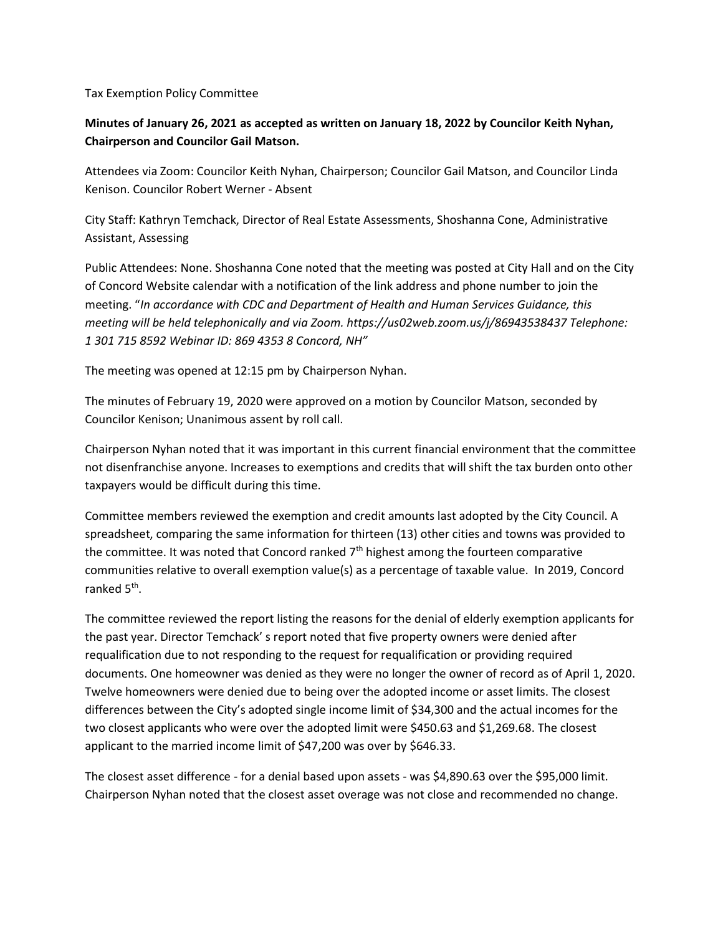Tax Exemption Policy Committee

## Minutes of January 26, 2021 as accepted as written on January 18, 2022 by Councilor Keith Nyhan, Chairperson and Councilor Gail Matson.

Attendees via Zoom: Councilor Keith Nyhan, Chairperson; Councilor Gail Matson, and Councilor Linda Kenison. Councilor Robert Werner - Absent

City Staff: Kathryn Temchack, Director of Real Estate Assessments, Shoshanna Cone, Administrative Assistant, Assessing

Public Attendees: None. Shoshanna Cone noted that the meeting was posted at City Hall and on the City of Concord Website calendar with a notification of the link address and phone number to join the meeting. "In accordance with CDC and Department of Health and Human Services Guidance, this meeting will be held telephonically and via Zoom. https://us02web.zoom.us/j/86943538437 Telephone: 1 301 715 8592 Webinar ID: 869 4353 8 Concord, NH"

The meeting was opened at 12:15 pm by Chairperson Nyhan.

The minutes of February 19, 2020 were approved on a motion by Councilor Matson, seconded by Councilor Kenison; Unanimous assent by roll call.

Chairperson Nyhan noted that it was important in this current financial environment that the committee not disenfranchise anyone. Increases to exemptions and credits that will shift the tax burden onto other taxpayers would be difficult during this time.

Committee members reviewed the exemption and credit amounts last adopted by the City Council. A spreadsheet, comparing the same information for thirteen (13) other cities and towns was provided to the committee. It was noted that Concord ranked  $7<sup>th</sup>$  highest among the fourteen comparative communities relative to overall exemption value(s) as a percentage of taxable value. In 2019, Concord ranked 5<sup>th</sup>.

The committee reviewed the report listing the reasons for the denial of elderly exemption applicants for the past year. Director Temchack' s report noted that five property owners were denied after requalification due to not responding to the request for requalification or providing required documents. One homeowner was denied as they were no longer the owner of record as of April 1, 2020. Twelve homeowners were denied due to being over the adopted income or asset limits. The closest differences between the City's adopted single income limit of \$34,300 and the actual incomes for the two closest applicants who were over the adopted limit were \$450.63 and \$1,269.68. The closest applicant to the married income limit of \$47,200 was over by \$646.33.

The closest asset difference - for a denial based upon assets - was \$4,890.63 over the \$95,000 limit. Chairperson Nyhan noted that the closest asset overage was not close and recommended no change.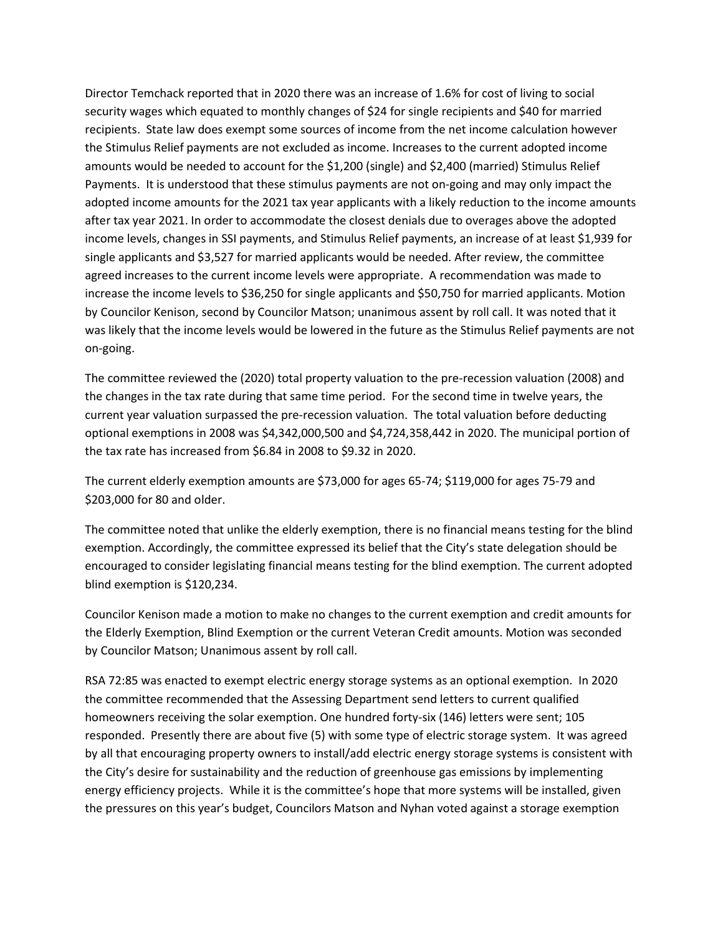Director Temchack reported that in 2020 there was an increase of 1.6% for cost of living to social security wages which equated to monthly changes of \$24 for single recipients and \$40 for married recipients. State law does exempt some sources of income from the net income calculation however the Stimulus Relief payments are not excluded as income. Increases to the current adopted income amounts would be needed to account for the \$1,200 (single) and \$2,400 (married) Stimulus Relief Payments. It is understood that these stimulus payments are not on-going and may only impact the adopted income amounts for the 2021 tax year applicants with a likely reduction to the income amounts after tax year 2021. In order to accommodate the closest denials due to overages above the adopted income levels, changes in SSI payments, and Stimulus Relief payments, an increase of at least \$1,939 for single applicants and \$3,527 for married applicants would be needed. After review, the committee agreed increases to the current income levels were appropriate. A recommendation was made to increase the income levels to \$36,250 for single applicants and \$50,750 for married applicants. Motion by Councilor Kenison, second by Councilor Matson; unanimous assent by roll call. It was noted that it was likely that the income levels would be lowered in the future as the Stimulus Relief payments are not on-going.

The committee reviewed the (2020) total property valuation to the pre-recession valuation (2008) and the changes in the tax rate during that same time period. For the second time in twelve years, the current year valuation surpassed the pre-recession valuation. The total valuation before deducting optional exemptions in 2008 was \$4,342,000,500 and \$4,724,358,442 in 2020. The municipal portion of the tax rate has increased from \$6.84 in 2008 to \$9.32 in 2020.

The current elderly exemption amounts are \$73,000 for ages 65-74; \$119,000 for ages 75-79 and \$203,000 for 80 and older.

The committee noted that unlike the elderly exemption, there is no financial means testing for the blind exemption. Accordingly, the committee expressed its belief that the City's state delegation should be encouraged to consider legislating financial means testing for the blind exemption. The current adopted blind exemption is \$120,234.

Councilor Kenison made a motion to make no changes to the current exemption and credit amounts for the Elderly Exemption, Blind Exemption or the current Veteran Credit amounts. Motion was seconded by Councilor Matson; Unanimous assent by roll call.

RSA 72:85 was enacted to exempt electric energy storage systems as an optional exemption. In 2020 the committee recommended that the Assessing Department send letters to current qualified homeowners receiving the solar exemption. One hundred forty-six (146) letters were sent; 105 responded. Presently there are about five (5) with some type of electric storage system. It was agreed by all that encouraging property owners to install/add electric energy storage systems is consistent with the City's desire for sustainability and the reduction of greenhouse gas emissions by implementing energy efficiency projects. While it is the committee's hope that more systems will be installed, given the pressures on this year's budget, Councilors Matson and Nyhan voted against a storage exemption